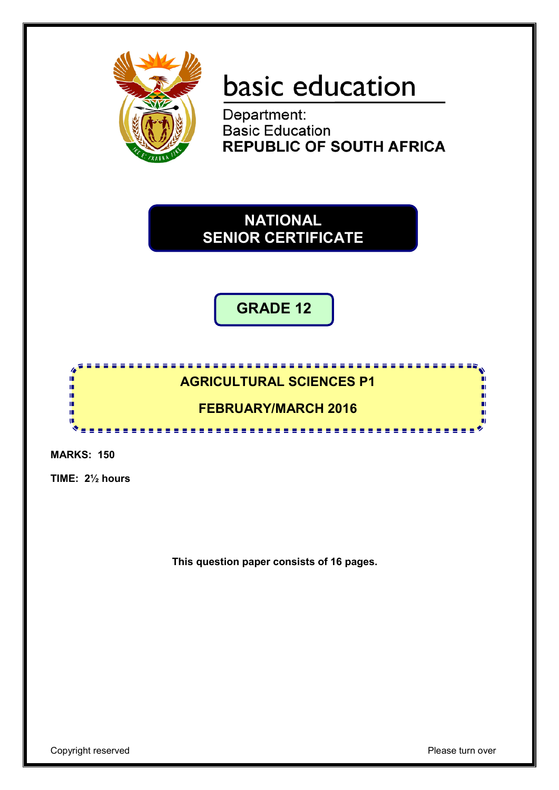

# basic education

Department: **Basic Education REPUBLIC OF SOUTH AFRICA** 

**NATIONAL SENIOR CERTIFICATE**

> l, **GRADE 12**

# <u>. . . . . . . . . . . . .</u> **AGRICULTURAL SCIENCES P1**

# **FEBRUARY/MARCH 2016**

. . . . . . .

**MARKS: 150**

ı 庫 庫 ή. ıń т

**TIME: 2½ hours**

**This question paper consists of 16 pages.**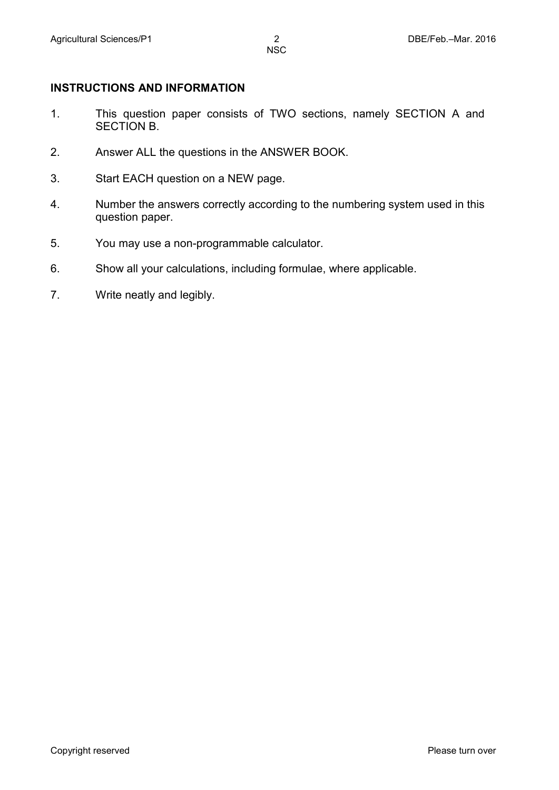#### **INSTRUCTIONS AND INFORMATION**

- 1. This question paper consists of TWO sections, namely SECTION A and SECTION B.
- 2. Answer ALL the questions in the ANSWER BOOK.
- 3. Start EACH question on a NEW page.
- 4. Number the answers correctly according to the numbering system used in this question paper.
- 5. You may use a non-programmable calculator.
- 6. Show all your calculations, including formulae, where applicable.
- 7. Write neatly and legibly.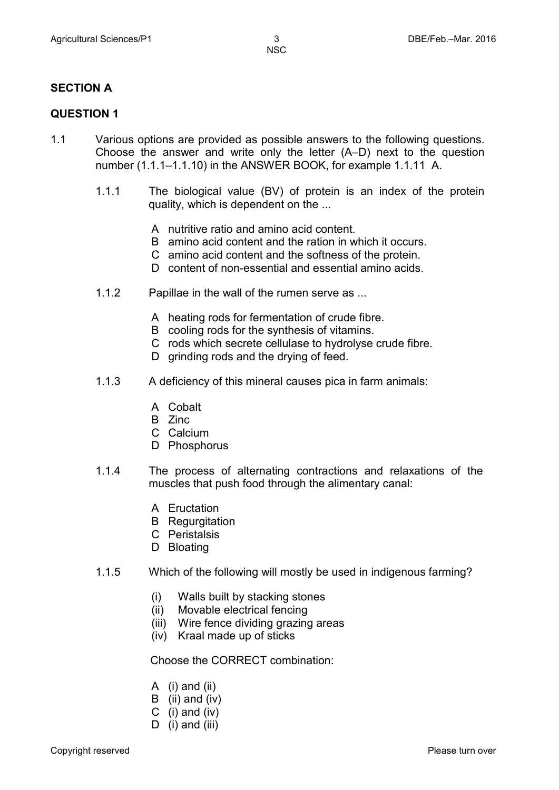#### **SECTION A**

#### **QUESTION 1**

- 1.1 Various options are provided as possible answers to the following questions. Choose the answer and write only the letter (A–D) next to the question number (1.1.1–1.1.10) in the ANSWER BOOK, for example 1.1.11 A.
	- 1.1.1 The biological value (BV) of protein is an index of the protein quality, which is dependent on the ...
		- A nutritive ratio and amino acid content.
		- B amino acid content and the ration in which it occurs.
		- C amino acid content and the softness of the protein.
		- D content of non-essential and essential amino acids.
	- 1.1.2 Papillae in the wall of the rumen serve as ...
		- A heating rods for fermentation of crude fibre.
		- B cooling rods for the synthesis of vitamins.
		- C rods which secrete cellulase to hydrolyse crude fibre.
		- D grinding rods and the drying of feed.
	- 1.1.3 A deficiency of this mineral causes pica in farm animals:
		- A Cobalt
		- B Zinc
		- C Calcium
		- D Phosphorus
	- 1.1.4 The process of alternating contractions and relaxations of the muscles that push food through the alimentary canal:
		- A Eructation
		- B Regurgitation
		- C Peristalsis
		- D Bloating
	- 1.1.5 Which of the following will mostly be used in indigenous farming?
		- (i) Walls built by stacking stones
		- (ii) Movable electrical fencing
		- (iii) Wire fence dividing grazing areas
		- (iv) Kraal made up of sticks

Choose the CORRECT combination:

- A (i) and (ii)
- B (ii) and (iv)
- C  $(i)$  and  $(iv)$
- D (i) and (iii)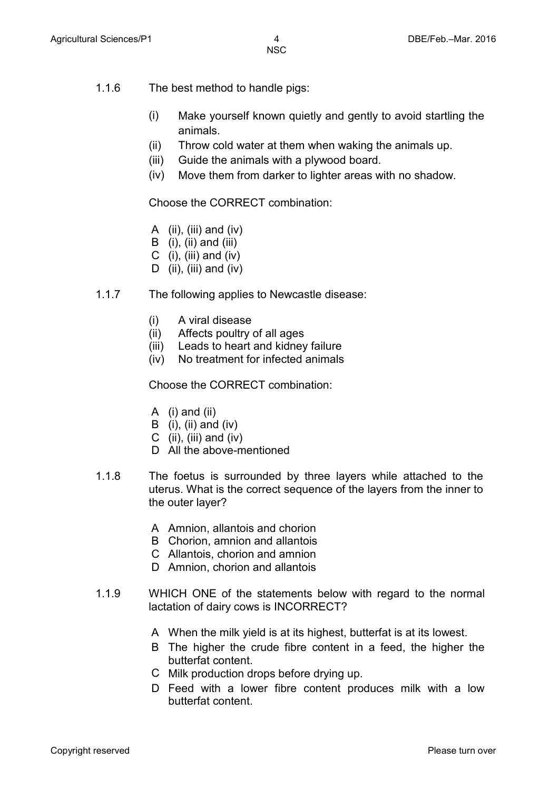- 1.1.6 The best method to handle pigs:
	- (i) Make yourself known quietly and gently to avoid startling the animals.
	- (ii) Throw cold water at them when waking the animals up.
	- (iii) Guide the animals with a plywood board.
	- (iv) Move them from darker to lighter areas with no shadow.

Choose the CORRECT combination:

- A  $(ii)$ ,  $(iii)$  and  $(iv)$
- B  $(i)$ ,  $(ii)$  and  $(iii)$
- C  $(i)$ ,  $(iii)$  and  $(iv)$
- D (ii), (iii) and (iv)
- 1.1.7 The following applies to Newcastle disease:
	- (i) A viral disease
	- (ii) Affects poultry of all ages
	- (iii) Leads to heart and kidney failure
	- (iv) No treatment for infected animals

Choose the CORRECT combination:

- A (i) and (ii)
- B (i), (ii) and (iv)
- C (ii), (iii) and (iv)
- D All the above-mentioned
- 1.1.8 The foetus is surrounded by three layers while attached to the uterus. What is the correct sequence of the layers from the inner to the outer layer?
	- A Amnion, allantois and chorion
	- B Chorion, amnion and allantois
	- C Allantois, chorion and amnion
	- D Amnion, chorion and allantois
- 1.1.9 WHICH ONE of the statements below with regard to the normal lactation of dairy cows is INCORRECT?
	- A When the milk yield is at its highest, butterfat is at its lowest.
	- B The higher the crude fibre content in a feed, the higher the butterfat content.
	- C Milk production drops before drying up.
	- D Feed with a lower fibre content produces milk with a low butterfat content.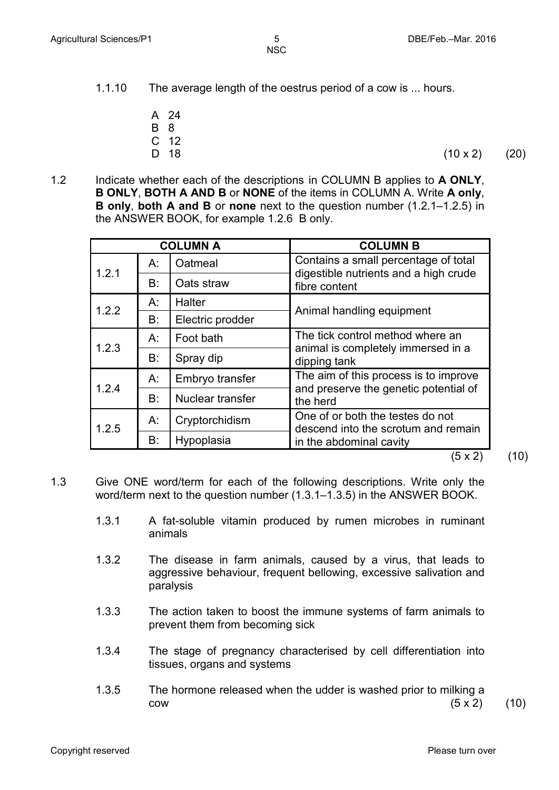- 1.1.10 The average length of the oestrus period of a cow is ... hours.
	- A 24
	- B 8
	- C 12<br>D 18
	-

D 18 (10 x 2) (20)

1.2 Indicate whether each of the descriptions in COLUMN B applies to **A ONLY**, **B ONLY**, **BOTH A AND B** or **NONE** of the items in COLUMN A. Write **A only**, **B only**, **both A and B** or **none** next to the question number (1.2.1–1.2.5) in the ANSWER BOOK, for example 1.2.6 B only.

|       |       | <b>COLUMN A</b>  | <b>COLUMN B</b>                                                               |  |  |  |  |
|-------|-------|------------------|-------------------------------------------------------------------------------|--|--|--|--|
| 1.2.1 | $A$ : | Oatmeal          | Contains a small percentage of total<br>digestible nutrients and a high crude |  |  |  |  |
|       | B:    | Oats straw       | fibre content                                                                 |  |  |  |  |
| 1.2.2 | A:    | <b>Halter</b>    |                                                                               |  |  |  |  |
|       | B:    | Electric prodder | Animal handling equipment                                                     |  |  |  |  |
| 1.2.3 | $A$ : | Foot bath        | The tick control method where an                                              |  |  |  |  |
|       | B:    | Spray dip        | animal is completely immersed in a<br>dipping tank                            |  |  |  |  |
| 1.2.4 | А:    | Embryo transfer  | The aim of this process is to improve                                         |  |  |  |  |
|       | B:    | Nuclear transfer | and preserve the genetic potential of<br>the herd                             |  |  |  |  |
| 1.2.5 | $A$ : | Cryptorchidism   | One of or both the testes do not<br>descend into the scrotum and remain       |  |  |  |  |
|       | B:    | Hypoplasia       | in the abdominal cavity                                                       |  |  |  |  |
|       |       |                  | (5 x 2)                                                                       |  |  |  |  |

(10)

- 1.3 Give ONE word/term for each of the following descriptions. Write only the word/term next to the question number (1.3.1–1.3.5) in the ANSWER BOOK.
	- 1.3.1 A fat-soluble vitamin produced by rumen microbes in ruminant animals
	- 1.3.2 The disease in farm animals, caused by a virus, that leads to aggressive behaviour, frequent bellowing, excessive salivation and paralysis
	- 1.3.3 The action taken to boost the immune systems of farm animals to prevent them from becoming sick
	- 1.3.4 The stage of pregnancy characterised by cell differentiation into tissues, organs and systems
	- 1.3.5 The hormone released when the udder is washed prior to milking a  $c$ ow (5 x 2) (10)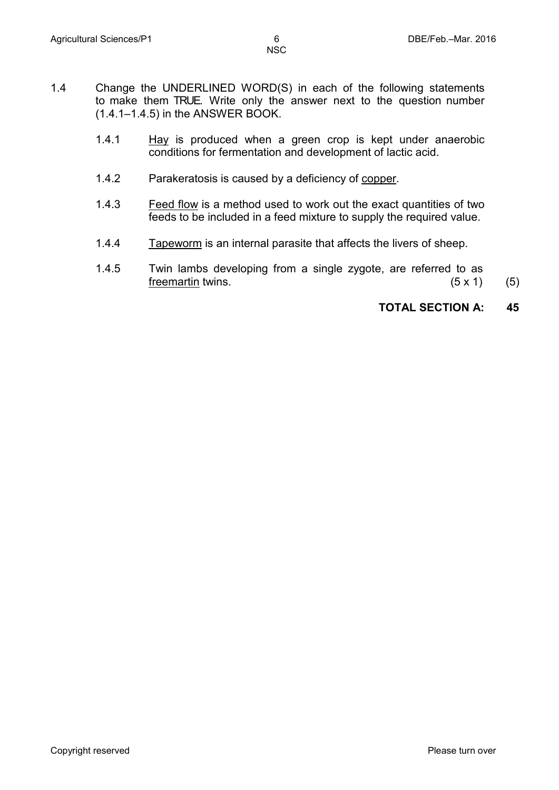- 1.4 Change the UNDERLINED WORD(S) in each of the following statements to make them TRUE. Write only the answer next to the question number (1.4.1–1.4.5) in the ANSWER BOOK.
	- 1.4.1 Hay is produced when a green crop is kept under anaerobic conditions for fermentation and development of lactic acid.
	- 1.4.2 Parakeratosis is caused by a deficiency of copper.
	- 1.4.3 Feed flow is a method used to work out the exact quantities of two feeds to be included in a feed mixture to supply the required value.
	- 1.4.4 Tapeworm is an internal parasite that affects the livers of sheep.
	- 1.4.5 Twin lambs developing from a single zygote, are referred to as freemartin twins.  $(5 \times 1)$  (5)

#### **TOTAL SECTION A: 45**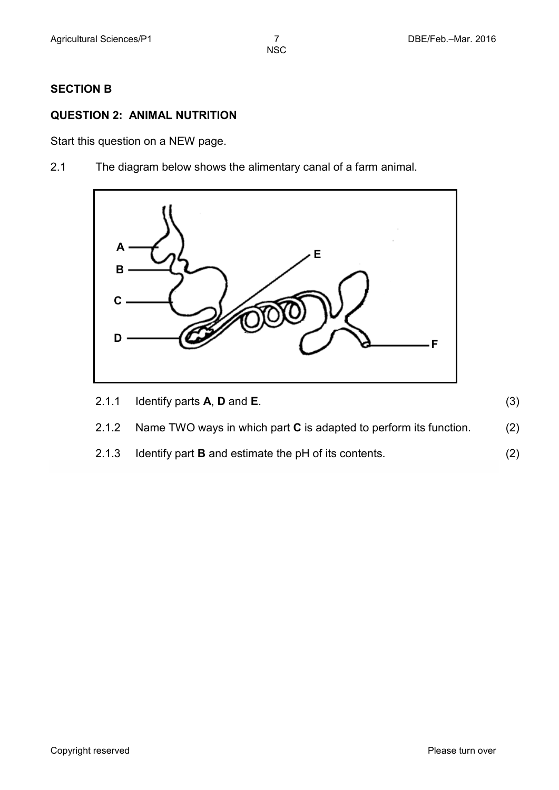#### **SECTION B**

## **QUESTION 2: ANIMAL NUTRITION**

Start this question on a NEW page.

2.1 The diagram below shows the alimentary canal of a farm animal.



| 2.1.1 Identify parts $A$ , $D$ and $E$ . |  |
|------------------------------------------|--|
|                                          |  |

- 2.1.2 Name TWO ways in which part **C** is adapted to perform its function. (2)
- 2.1.3 Identify part **B** and estimate the pH of its contents. (2)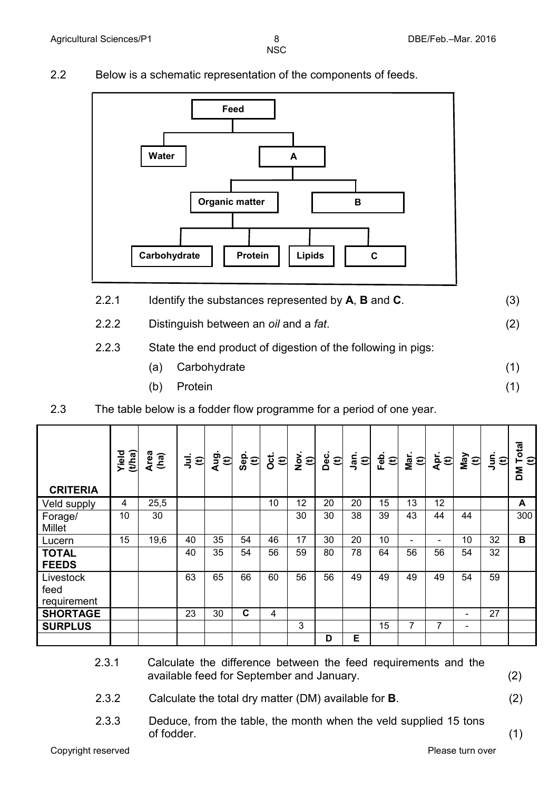- 
- 2.2 Below is a schematic representation of the components of feeds.



- 2.2.1 Identify the substances represented by **A**, **B** and **C**. (3)
- 2.2.2 Distinguish between an *oil* and a *fat*. (2)

### 2.2.3 State the end product of digestion of the following in pigs:

- (a) Carbohydrate
- (b) Protein
- 2.3 The table below is a fodder flow programme for a period of one year.

| <b>CRITERIA</b>                  | (tha)<br>Yield | Area<br>(ha) | ミ<br>$\boldsymbol{\epsilon}$ | Aug<br>$\mathbf{\hat{E}}$ | Sep<br>$\mathbf{\hat{e}}$ | <b>Oct.</b><br>$\mathbf{t}$ | $\sum_{i=1}^{N}$<br>$\boldsymbol{\hat{E}}$ | Dec.<br>$\mathbf{t}$ | _<br>ວິສ<br>$\mathbf{t}$ | Feb.<br>$\mathbf{\hat{E}}$ | Mar.<br>$\boldsymbol{\epsilon}$ | j<br>√⊕                  | VeW<br>$\boldsymbol{\widehat{E}}$ | $\overline{5}$<br>Ð | Total<br>$\mathbf{t}$<br>Σď |
|----------------------------------|----------------|--------------|------------------------------|---------------------------|---------------------------|-----------------------------|--------------------------------------------|----------------------|--------------------------|----------------------------|---------------------------------|--------------------------|-----------------------------------|---------------------|-----------------------------|
| Veld supply                      | 4              | 25,5         |                              |                           |                           | 10                          | 12                                         | 20                   | 20                       | 15                         | 13                              | 12                       |                                   |                     | A                           |
| Forage/<br><b>Millet</b>         | 10             | 30           |                              |                           |                           |                             | 30                                         | 30                   | 38                       | 39                         | 43                              | 44                       | 44                                |                     | 300                         |
| Lucern                           | 15             | 19,6         | 40                           | 35                        | 54                        | 46                          | 17                                         | 30                   | 20                       | 10                         | $\overline{\phantom{0}}$        | $\overline{\phantom{a}}$ | 10 <sup>°</sup>                   | 32                  | В                           |
| <b>TOTAL</b><br><b>FEEDS</b>     |                |              | 40                           | 35                        | 54                        | 56                          | 59                                         | 80                   | 78                       | 64                         | 56                              | 56                       | 54                                | 32                  |                             |
| Livestock<br>feed<br>requirement |                |              | 63                           | 65                        | 66                        | 60                          | 56                                         | 56                   | 49                       | 49                         | 49                              | 49                       | 54                                | 59                  |                             |
| <b>SHORTAGE</b>                  |                |              | 23                           | 30                        | C                         | 4                           |                                            |                      |                          |                            |                                 |                          | $\overline{\phantom{0}}$          | 27                  |                             |
| <b>SURPLUS</b>                   |                |              |                              |                           |                           |                             | 3                                          |                      |                          | 15                         | 7                               | 7                        | -                                 |                     |                             |
|                                  |                |              |                              |                           |                           |                             |                                            | D                    | Е                        |                            |                                 |                          |                                   |                     |                             |

- 2.3.1 Calculate the difference between the feed requirements and the available feed for September and January. (2)
- 2.3.2 Calculate the total dry matter (DM) available for **B**. (2)
- 

(1)

(1)

2.3.3 Deduce, from the table, the month when the veld supplied 15 tons of fodder. (1)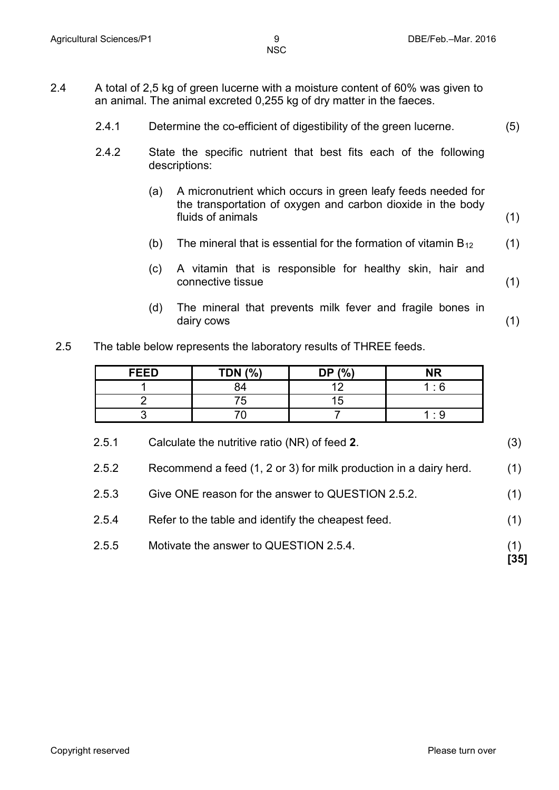- 2.4 A total of 2,5 kg of green lucerne with a moisture content of 60% was given to an animal. The animal excreted 0,255 kg of dry matter in the faeces.
	- 2.4.1 Determine the co-efficient of digestibility of the green lucerne. (5)
	- 2.4.2 State the specific nutrient that best fits each of the following descriptions:
		- (a) A micronutrient which occurs in green leafy feeds needed for the transportation of oxygen and carbon dioxide in the body fluids of animals (1)
		- (b) The mineral that is essential for the formation of vitamin  $B_{12}$ (1)
		- (c) A vitamin that is responsible for healthy skin, hair and connective tissue (1)
		- (d) The mineral that prevents milk fever and fragile bones in dairy cows (1)
	- 2.5 The table below represents the laboratory results of THREE feeds.

| <b>FEED</b> | <b>TDN (%)</b> | DP $(%)$ | <b>NR</b> |
|-------------|----------------|----------|-----------|
|             |                |          | $\cdot$ 6 |
|             | '5             | h        |           |
|             |                |          | ۰o        |

- 2.5.1 Calculate the nutritive ratio (NR) of feed **2**. (3) 2.5.2 Recommend a feed (1, 2 or 3) for milk production in a dairy herd. (1) 2.5.3 Give ONE reason for the answer to QUESTION 2.5.2. (1)
- 2.5.4 Refer to the table and identify the cheapest feed. (1)
- 2.5.5 Motivate the answer to QUESTION 2.5.4. (1)
	- **[35]**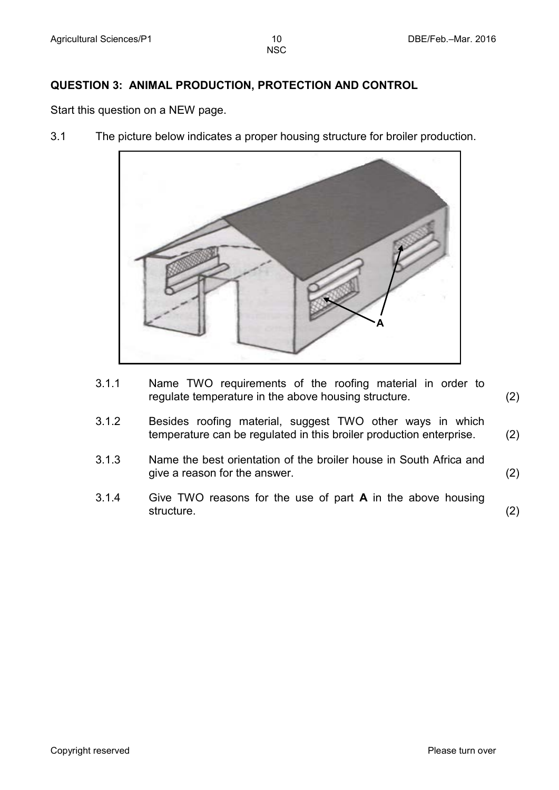#### **QUESTION 3: ANIMAL PRODUCTION, PROTECTION AND CONTROL**

Start this question on a NEW page.

3.1 The picture below indicates a proper housing structure for broiler production.



- 3.1.1 Name TWO requirements of the roofing material in order to regulate temperature in the above housing structure. (2)
- 3.1.2 Besides roofing material, suggest TWO other ways in which temperature can be regulated in this broiler production enterprise. (2)
- 3.1.3 Name the best orientation of the broiler house in South Africa and give a reason for the answer. (2)
- 3.1.4 Give TWO reasons for the use of part **A** in the above housing structure. (2)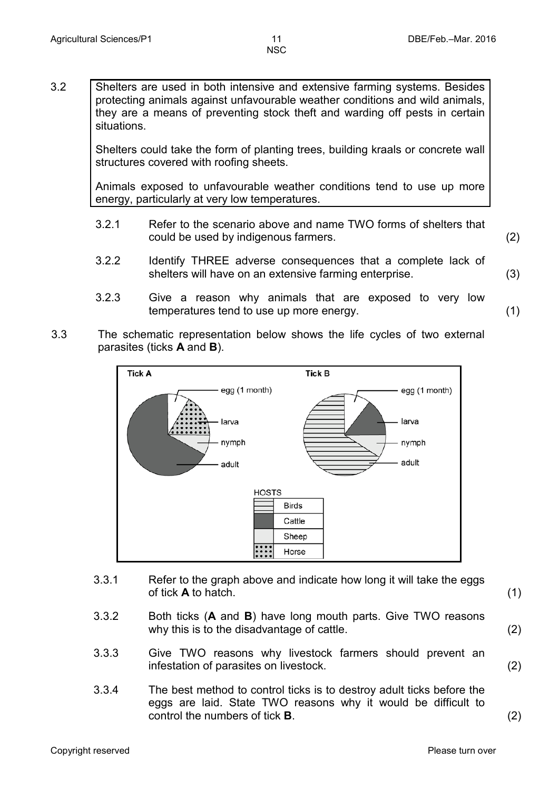3.2 Shelters are used in both intensive and extensive farming systems. Besides protecting animals against unfavourable weather conditions and wild animals, they are a means of preventing stock theft and warding off pests in certain situations.

> Shelters could take the form of planting trees, building kraals or concrete wall structures covered with roofing sheets.

> Animals exposed to unfavourable weather conditions tend to use up more energy, particularly at very low temperatures.

- 3.2.1 Refer to the scenario above and name TWO forms of shelters that could be used by indigenous farmers. (2)
- 3.2.2 Identify THREE adverse consequences that a complete lack of shelters will have on an extensive farming enterprise. (3)
- 3.2.3 Give a reason why animals that are exposed to very low temperatures tend to use up more energy. (1)
- 3.3 The schematic representation below shows the life cycles of two external parasites (ticks **A** and **B**).



- 3.3.1 Refer to the graph above and indicate how long it will take the eggs of tick **A** to hatch.(1)
- 3.3.2 Both ticks (**A** and **B**) have long mouth parts. Give TWO reasons why this is to the disadvantage of cattle. (2)
- 3.3.3 Give TWO reasons why livestock farmers should prevent an infestation of parasites on livestock. (2)
- 3.3.4 The best method to control ticks is to destroy adult ticks before the eggs are laid. State TWO reasons why it would be difficult to control the numbers of tick **B**. (2)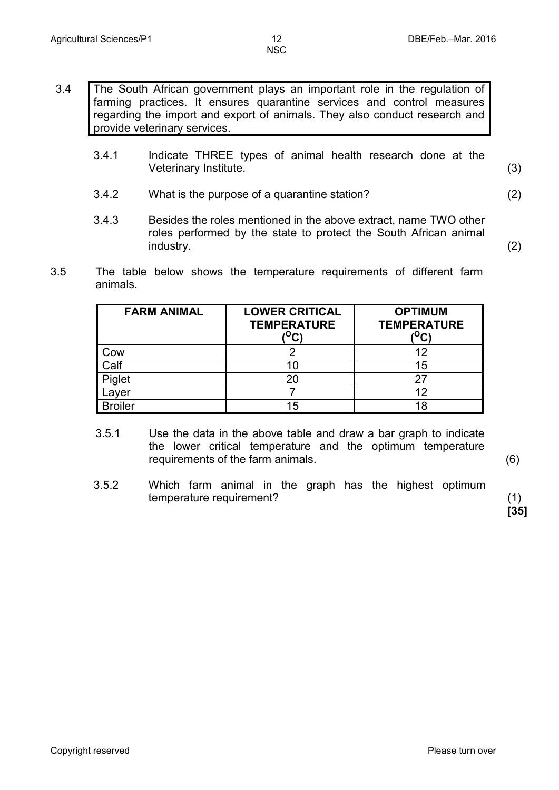- 3.4 The South African government plays an important role in the regulation of farming practices. It ensures quarantine services and control measures regarding the import and export of animals. They also conduct research and provide veterinary services.
	- 3.4.1 Indicate THREE types of animal health research done at the Veterinary Institute.(3)
	- 3.4.2 What is the purpose of a quarantine station? (2)
	- 3.4.3 Besides the roles mentioned in the above extract, name TWO other roles performed by the state to protect the South African animal industry. (2)
- 3.5 The table below shows the temperature requirements of different farm animals.

| <b>FARM ANIMAL</b> | <b>LOWER CRITICAL</b><br><b>TEMPERATURE</b> | <b>OPTIMUM</b><br><b>TEMPERATURE</b><br>یں |
|--------------------|---------------------------------------------|--------------------------------------------|
| Cow                |                                             |                                            |
| Calf               | 10                                          | 15                                         |
| Piglet             | 20                                          | 27                                         |
| Layer              |                                             | 12                                         |
| <b>Broiler</b>     | 15                                          | 18                                         |

- 3.5.1 Use the data in the above table and draw a bar graph to indicate the lower critical temperature and the optimum temperature requirements of the farm animals. (6)
- 3.5.2 Which farm animal in the graph has the highest optimum temperature requirement? (1)

**[35]**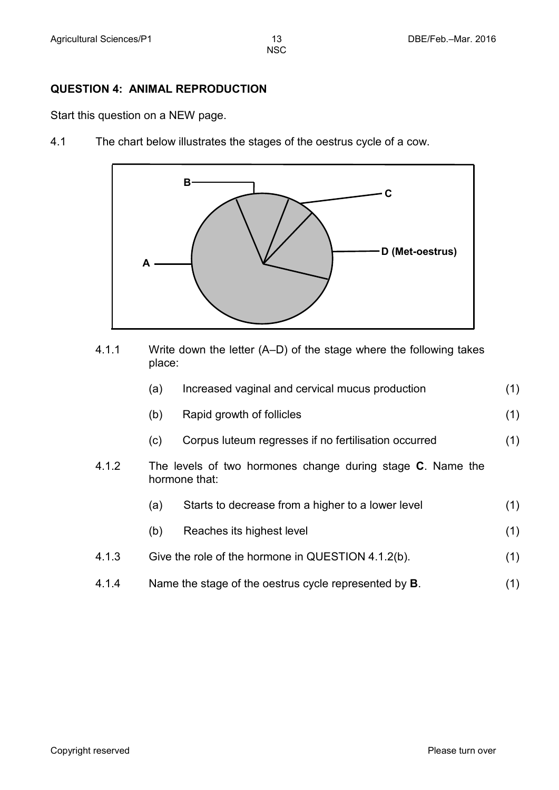#### **QUESTION 4: ANIMAL REPRODUCTION**

Start this question on a NEW page.

4.1 The chart below illustrates the stages of the oestrus cycle of a cow.



4.1.1 Write down the letter (A–D) of the stage where the following takes place:

|       | (a) | Increased vaginal and cervical mucus production                             | (1) |
|-------|-----|-----------------------------------------------------------------------------|-----|
|       | (b) | Rapid growth of follicles                                                   | (1) |
|       | (c) | Corpus luteum regresses if no fertilisation occurred                        | (1) |
| 4.1.2 |     | The levels of two hormones change during stage C. Name the<br>hormone that: |     |
|       | (a) | Starts to decrease from a higher to a lower level                           | (1) |
|       | (b) | Reaches its highest level                                                   | (1) |
| 4.1.3 |     | Give the role of the hormone in QUESTION 4.1.2(b).                          | (1) |
| 4.1.4 |     | Name the stage of the oestrus cycle represented by <b>B</b> .               | (1) |
|       |     |                                                                             |     |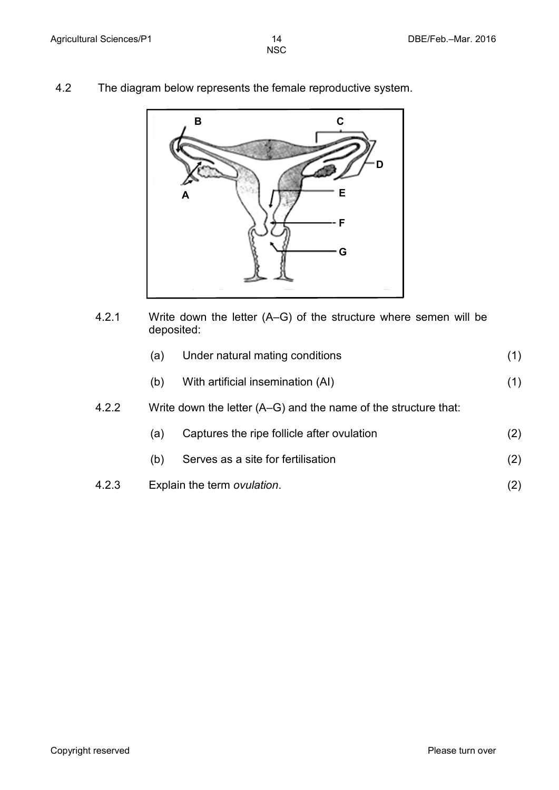4.2 The diagram below represents the female reproductive system.



4.2.1 Write down the letter (A–G) of the structure where semen will be deposited:

|       | (a) | Under natural mating conditions                                   | (1) |
|-------|-----|-------------------------------------------------------------------|-----|
|       | (b) | With artificial insemination (AI)                                 | (1) |
| 4.2.2 |     | Write down the letter $(A-G)$ and the name of the structure that: |     |
|       | (a) | Captures the ripe follicle after ovulation                        | (2) |
|       | (b) | Serves as a site for fertilisation                                | (2) |
| 4.2.3 |     | Explain the term ovulation.                                       | (2) |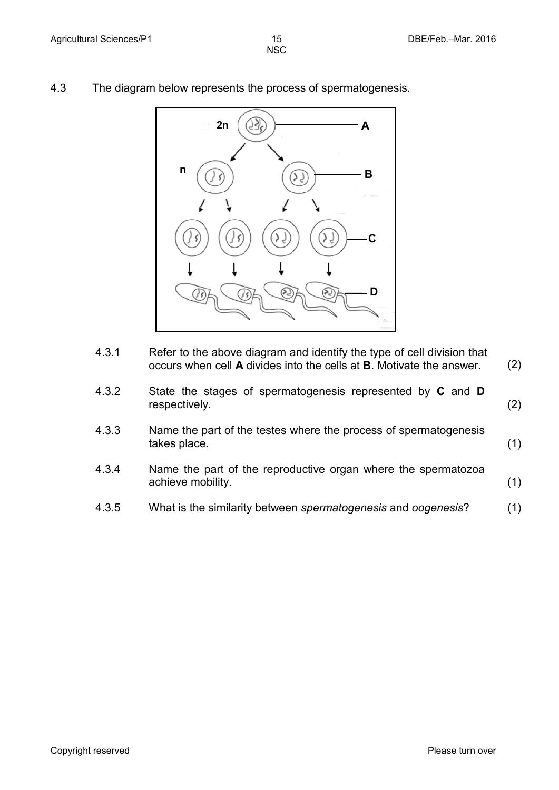- 
- 4.3 The diagram below represents the process of spermatogenesis.



4.3.1 Refer to the above diagram and identify the type of cell division that occurs when cell **A** divides into the cells at **B**. Motivate the answer. (2)

| 4.3.2 | State the stages of spermatogenesis represented by C and D |     |
|-------|------------------------------------------------------------|-----|
|       | respectively.                                              | (2) |

- 4.3.3 Name the part of the testes where the process of spermatogenesis takes place. (1)
- 4.3.4 Name the part of the reproductive organ where the spermatozoa achieve mobility. (1)
- 4.3.5 What is the similarity between *spermatogenesis* and *oogenesis*? (1)